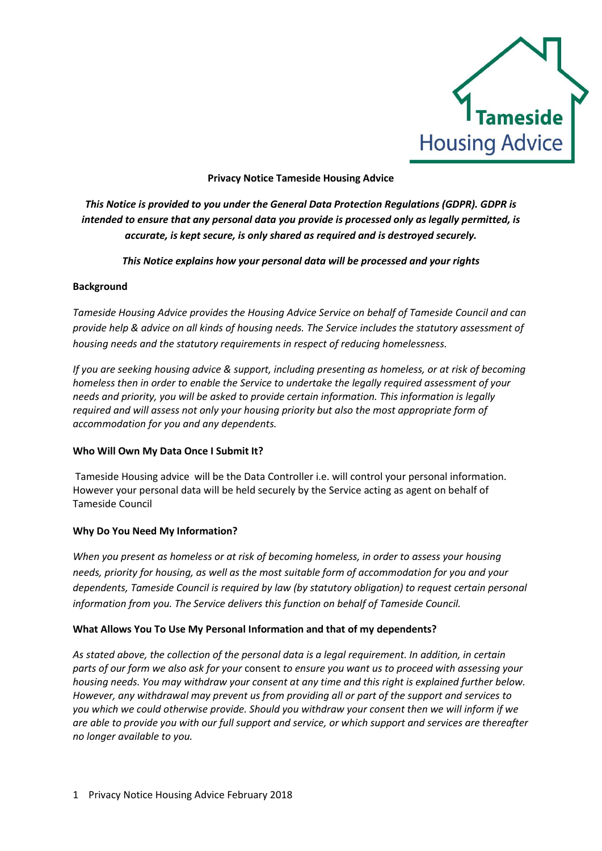

## **Privacy Notice Tameside Housing Advice**

*This Notice is provided to you under the General Data Protection Regulations (GDPR). GDPR is intended to ensure that any personal data you provide is processed only as legally permitted, is accurate, is kept secure, is only shared as required and is destroyed securely.*

*This Notice explains how your personal data will be processed and your rights*

## **Background**

*Tameside Housing Advice provides the Housing Advice Service on behalf of Tameside Council and can provide help & advice on all kinds of housing needs. The Service includes the statutory assessment of housing needs and the statutory requirements in respect of reducing homelessness.*

*If you are seeking housing advice & support, including presenting as homeless, or at risk of becoming homeless then in order to enable the Service to undertake the legally required assessment of your needs and priority, you will be asked to provide certain information. This information is legally required and will assess not only your housing priority but also the most appropriate form of accommodation for you and any dependents.* 

# **Who Will Own My Data Once I Submit It?**

Tameside Housing advice will be the Data Controller i.e. will control your personal information. However your personal data will be held securely by the Service acting as agent on behalf of Tameside Council

# **Why Do You Need My Information?**

*When you present as homeless or at risk of becoming homeless, in order to assess your housing needs, priority for housing, as well as the most suitable form of accommodation for you and your dependents, Tameside Council is required by law (by statutory obligation) to request certain personal information from you. The Service delivers this function on behalf of Tameside Council.*

#### **What Allows You To Use My Personal Information and that of my dependents?**

*As stated above, the collection of the personal data is a legal requirement. In addition, in certain parts of our form we also ask for your* consent *to ensure you want us to proceed with assessing your housing needs. You may withdraw your consent at any time and this right is explained further below. However, any withdrawal may prevent us from providing all or part of the support and services to you which we could otherwise provide. Should you withdraw your consent then we will inform if we are able to provide you with our full support and service, or which support and services are thereafter no longer available to you.*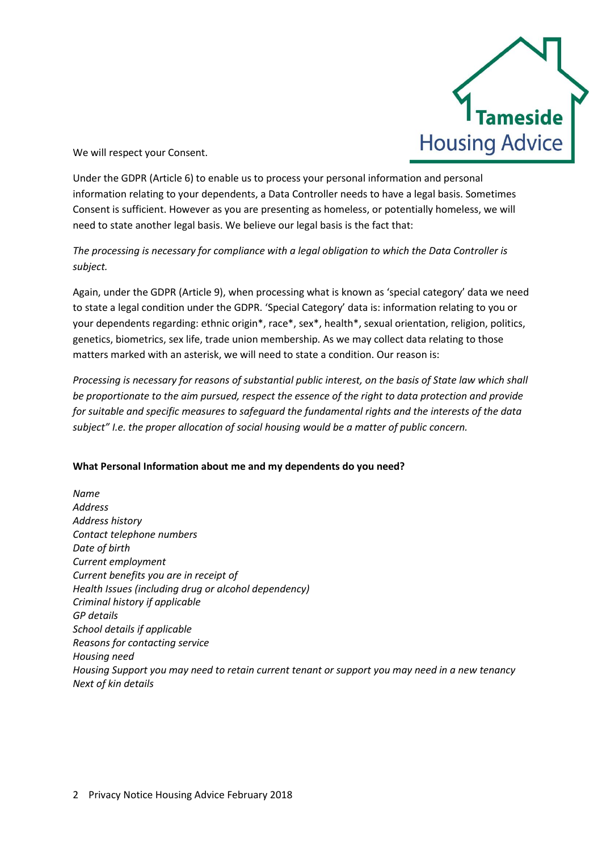

We will respect your Consent.

Under the GDPR (Article 6) to enable us to process your personal information and personal information relating to your dependents, a Data Controller needs to have a legal basis. Sometimes Consent is sufficient. However as you are presenting as homeless, or potentially homeless, we will need to state another legal basis. We believe our legal basis is the fact that:

# *The processing is necessary for compliance with a legal obligation to which the Data Controller is subject.*

Again, under the GDPR (Article 9), when processing what is known as 'special category' data we need to state a legal condition under the GDPR. 'Special Category' data is: information relating to you or your dependents regarding: ethnic origin\*, race\*, sex\*, health\*, sexual orientation, religion, politics, genetics, biometrics, sex life, trade union membership. As we may collect data relating to those matters marked with an asterisk, we will need to state a condition. Our reason is:

*Processing is necessary for reasons of substantial public interest, on the basis of State law which shall be proportionate to the aim pursued, respect the essence of the right to data protection and provide for suitable and specific measures to safeguard the fundamental rights and the interests of the data subject" I.e. the proper allocation of social housing would be a matter of public concern.*

# **What Personal Information about me and my dependents do you need?**

*Name Address Address history Contact telephone numbers Date of birth Current employment Current benefits you are in receipt of Health Issues (including drug or alcohol dependency) Criminal history if applicable GP details School details if applicable Reasons for contacting service Housing need Housing Support you may need to retain current tenant or support you may need in a new tenancy Next of kin details*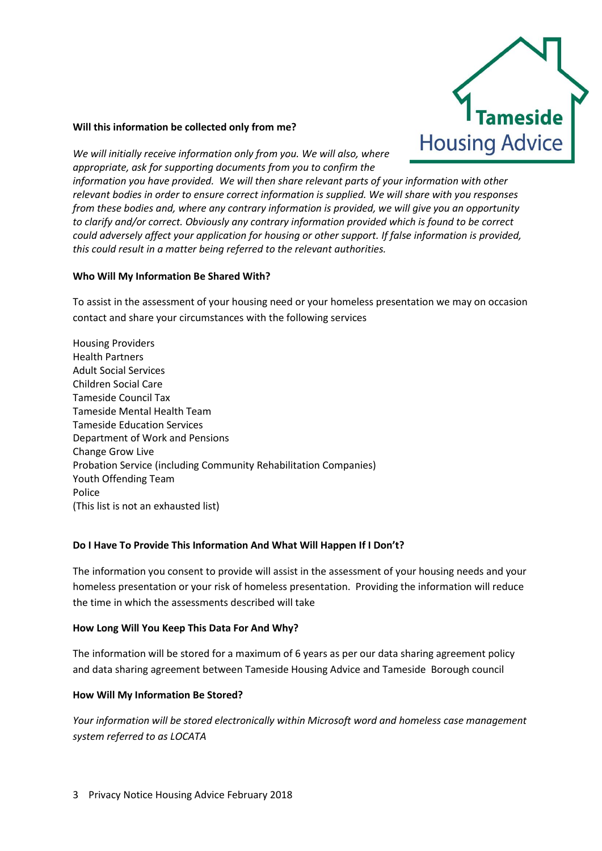

#### **Will this information be collected only from me?**

*We will initially receive information only from you. We will also, where appropriate, ask for supporting documents from you to confirm the* 

*information you have provided. We will then share relevant parts of your information with other relevant bodies in order to ensure correct information is supplied. We will share with you responses from these bodies and, where any contrary information is provided, we will give you an opportunity to clarify and/or correct. Obviously any contrary information provided which is found to be correct could adversely affect your application for housing or other support. If false information is provided, this could result in a matter being referred to the relevant authorities.*

#### **Who Will My Information Be Shared With?**

To assist in the assessment of your housing need or your homeless presentation we may on occasion contact and share your circumstances with the following services

Housing Providers Health Partners Adult Social Services Children Social Care Tameside Council Tax Tameside Mental Health Team Tameside Education Services Department of Work and Pensions Change Grow Live Probation Service (including Community Rehabilitation Companies) Youth Offending Team Police (This list is not an exhausted list)

#### **Do I Have To Provide This Information And What Will Happen If I Don't?**

The information you consent to provide will assist in the assessment of your housing needs and your homeless presentation or your risk of homeless presentation. Providing the information will reduce the time in which the assessments described will take

#### **How Long Will You Keep This Data For And Why?**

The information will be stored for a maximum of 6 years as per our data sharing agreement policy and data sharing agreement between Tameside Housing Advice and Tameside Borough council

#### **How Will My Information Be Stored?**

*Your information will be stored electronically within Microsoft word and homeless case management system referred to as LOCATA*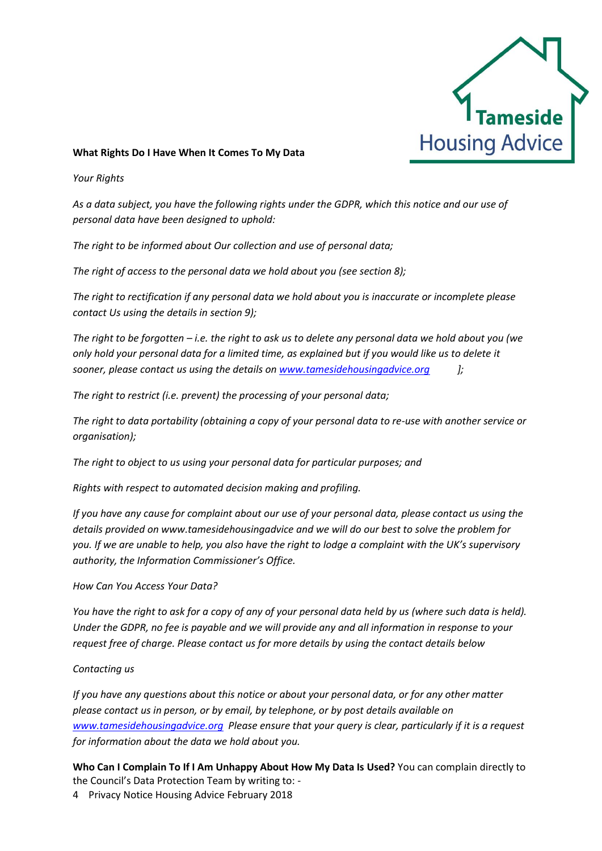

## **What Rights Do I Have When It Comes To My Data**

*Your Rights*

*As a data subject, you have the following rights under the GDPR, which this notice and our use of personal data have been designed to uphold:*

*The right to be informed about Our collection and use of personal data;*

*The right of access to the personal data we hold about you (see section 8);*

*The right to rectification if any personal data we hold about you is inaccurate or incomplete please contact Us using the details in section 9);*

*The right to be forgotten – i.e. the right to ask us to delete any personal data we hold about you (we only hold your personal data for a limited time, as explained but if you would like us to delete it sooner, please contact us using the details on [www.tamesidehousingadvice.org](http://www.tamesidehousingadvice.org/) ];*

*The right to restrict (i.e. prevent) the processing of your personal data;*

*The right to data portability (obtaining a copy of your personal data to re-use with another service or organisation);*

*The right to object to us using your personal data for particular purposes; and*

*Rights with respect to automated decision making and profiling.*

*If you have any cause for complaint about our use of your personal data, please contact us using the details provided on www.tamesidehousingadvice and we will do our best to solve the problem for you. If we are unable to help, you also have the right to lodge a complaint with the UK's supervisory authority, the Information Commissioner's Office.*

*How Can You Access Your Data?*

*You have the right to ask for a copy of any of your personal data held by us (where such data is held). Under the GDPR, no fee is payable and we will provide any and all information in response to your request free of charge. Please contact us for more details by using the contact details below*

#### *Contacting us*

*If you have any questions about this notice or about your personal data, or for any other matter please contact us in person, or by email, by telephone, or by post details available on [www.tamesidehousingadvice.](http://www.tamesidehousingadvice/)org Please ensure that your query is clear, particularly if it is a request for information about the data we hold about you.*

**Who Can I Complain To If I Am Unhappy About How My Data Is Used?** You can complain directly to the Council's Data Protection Team by writing to: -

4 Privacy Notice Housing Advice February 2018